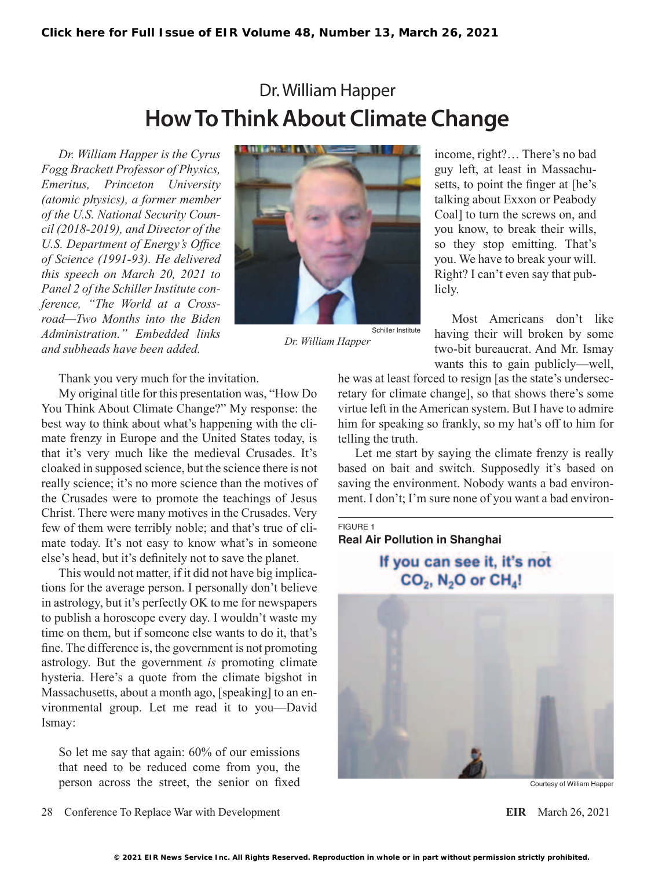# Dr. William Happer **How To Think About Climate Change**

*Dr. William Happer is the Cyrus Fogg Brackett Professor of Physics, Emeritus, Princeton University (atomic physics), a former member of the U.S. National Security Council (2018-2019), and Director of the U.S. Department of Energy's Office of Science (1991-93). He delivered this speech on March 20, 2021 to Panel 2 of the Schiller Institute conference, "The World at a Crossroad—Two Months into the Biden Administration." Embedded links and subheads have been added.*



*Dr. William Happer*

income, right?… There's no bad guy left, at least in Massachusetts, to point the finger at [he's talking about Exxon or Peabody Coal] to turn the screws on, and you know, to break their wills, so they stop emitting. That's you. We have to break your will. Right? I can't even say that publicly.

Most Americans don't like having their will broken by some two-bit bureaucrat. And Mr. Ismay wants this to gain publicly—well,

Thank you very much for the invitation.

My original title for this presentation was, "How Do You Think About Climate Change?" My response: the best way to think about what's happening with the climate frenzy in Europe and the United States today, is that it's very much like the medieval Crusades. It's cloaked in supposed science, but the science there is not really science; it's no more science than the motives of the Crusades were to promote the teachings of Jesus Christ. There were many motives in the Crusades. Very few of them were terribly noble; and that's true of climate today. It's not easy to know what's in someone else's head, but it's definitely not to save the planet.

This would not matter, if it did not have big implications for the average person. I personally don't believe in astrology, but it's perfectly OK to me for newspapers to publish a horoscope every day. I wouldn't waste my time on them, but if someone else wants to do it, that's fine. The difference is, the government is not promoting astrology. But the government *is* promoting climate hysteria. Here's a quote from the climate bigshot in Massachusetts, about a month ago, [speaking] to an environmental group. Let me read it to you—David Ismay:

So let me say that again: 60% of our emissions that need to be reduced come from you, the person across the street, the senior on fixed

he was at least forced to resign [as the state's undersecretary for climate change], so that shows there's some virtue left in the American system. But I have to admire him for speaking so frankly, so my hat's off to him for telling the truth.

Let me start by saying the climate frenzy is really based on bait and switch. Supposedly it's based on saving the environment. Nobody wants a bad environment. I don't; I'm sure none of you want a bad environ-

FIGURE 1 **Real Air Pollution in Shanghai**

# If you can see it, it's not  $CO<sub>2</sub>$ , N<sub>2</sub>O or CH<sub>4</sub>!



Courtesy of William Happer

28 Conference To Replace War with Development **EIR** March 26, 2021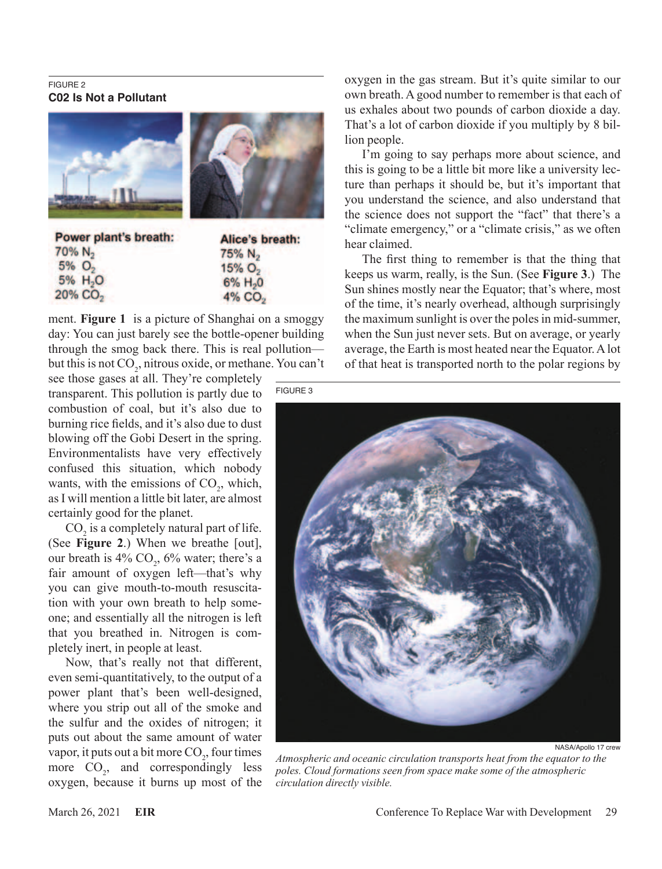#### FIGURE 2 **C02 Is Not a Pollutant**





Power plant's breath:  $70\% N_2$  $5%$   $O_2$ 5% H<sub>2</sub>O  $20\%$  CO<sub>2</sub>

Alice's breath: 75% N<sub>2</sub>  $15% O<sub>2</sub>$  $6\%$  H<sub>2</sub>0  $4\%$  CO<sub>2</sub>

ment. **Figure 1** is a picture of Shanghai on a smoggy day: You can just barely see the bottle-opener building through the smog back there. This is real pollution but this is not  $CO_2$ , nitrous oxide, or methane. You can't

see those gases at all. They're completely transparent. This pollution is partly due to combustion of coal, but it's also due to burning rice fields, and it's also due to dust blowing off the Gobi Desert in the spring. Environmentalists have very effectively confused this situation, which nobody wants, with the emissions of  $CO<sub>2</sub>$ , which, as I will mention a little bit later, are almost certainly good for the planet.

 $CO<sub>2</sub>$  is a completely natural part of life. (See **Figure 2**.) When we breathe [out], our breath is  $4\%$  CO<sub>2</sub>,  $6\%$  water; there's a fair amount of oxygen left—that's why you can give mouth-to-mouth resuscitation with your own breath to help someone; and essentially all the nitrogen is left that you breathed in. Nitrogen is completely inert, in people at least.

Now, that's really not that different, even semi-quantitatively, to the output of a power plant that's been well-designed, where you strip out all of the smoke and the sulfur and the oxides of nitrogen; it puts out about the same amount of water vapor, it puts out a bit more  $CO<sub>2</sub>$ , four times more  $CO_2$ , and correspondingly less oxygen, because it burns up most of the

oxygen in the gas stream. But it's quite similar to our own breath. A good number to remember is that each of us exhales about two pounds of carbon dioxide a day. That's a lot of carbon dioxide if you multiply by 8 billion people.

I'm going to say perhaps more about science, and this is going to be a little bit more like a university lecture than perhaps it should be, but it's important that you understand the science, and also understand that the science does not support the "fact" that there's a "climate emergency," or a "climate crisis," as we often hear claimed.

The first thing to remember is that the thing that keeps us warm, really, is the Sun. (See **Figure 3**.) The Sun shines mostly near the Equator; that's where, most of the time, it's nearly overhead, although surprisingly the maximum sunlight is over the poles in mid-summer, when the Sun just never sets. But on average, or yearly average, the Earth is most heated near the Equator. A lot of that heat is transported north to the polar regions by



NASA/Apollo 17 crew

*Atmospheric and oceanic circulation transports heat from the equator to the poles. Cloud formations seen from space make some of the atmospheric circulation directly visible.*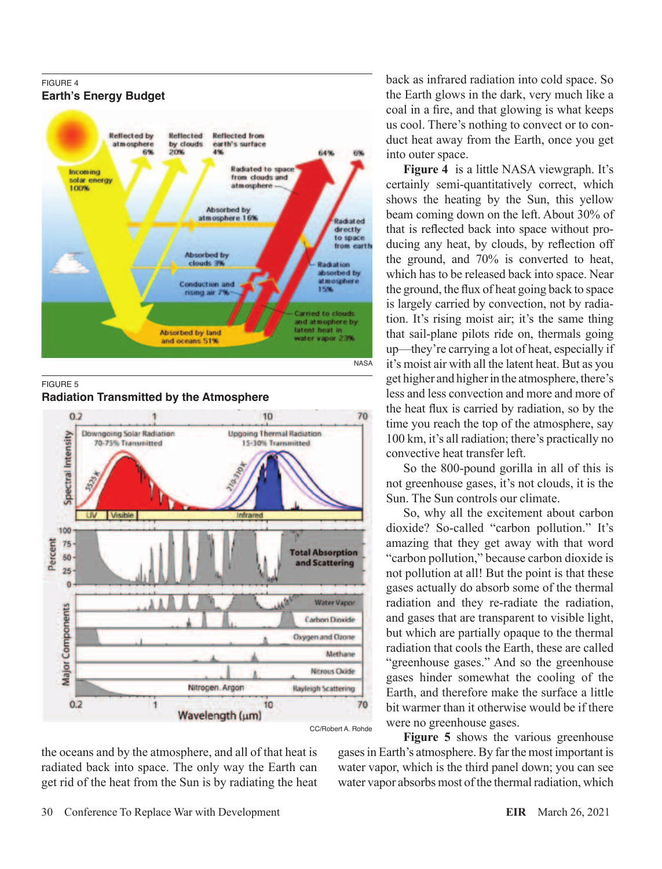

FIGURE 5

**Radiation Transmitted by the Atmosphere**



the oceans and by the atmosphere, and all of that heat is radiated back into space. The only way the Earth can get rid of the heat from the Sun is by radiating the heat back as infrared radiation into cold space. So the Earth glows in the dark, very much like a coal in a fire, and that glowing is what keeps us cool. There's nothing to convect or to conduct heat away from the Earth, once you get into outer space.

**Figure 4** is a little NASA viewgraph. It's certainly semi-quantitatively correct, which shows the heating by the Sun, this yellow beam coming down on the left. About 30% of that is reflected back into space without producing any heat, by clouds, by reflection off the ground, and 70% is converted to heat, which has to be released back into space. Near the ground, the flux of heat going back to space is largely carried by convection, not by radiation. It's rising moist air; it's the same thing that sail-plane pilots ride on, thermals going up—they're carrying a lot of heat, especially if it's moist air with all the latent heat. But as you get higher and higher in the atmosphere, there's less and less convection and more and more of the heat flux is carried by radiation, so by the time you reach the top of the atmosphere, say 100 km, it's all radiation; there's practically no convective heat transfer left.

So the 800-pound gorilla in all of this is not greenhouse gases, it's not clouds, it is the Sun. The Sun controls our climate.

So, why all the excitement about carbon dioxide? So-called "carbon pollution." It's amazing that they get away with that word "carbon pollution," because carbon dioxide is not pollution at all! But the point is that these gases actually do absorb some of the thermal radiation and they re-radiate the radiation, and gases that are transparent to visible light, but which are partially opaque to the thermal radiation that cools the Earth, these are called "greenhouse gases." And so the greenhouse gases hinder somewhat the cooling of the Earth, and therefore make the surface a little bit warmer than it otherwise would be if there were no greenhouse gases.

**Figure 5** shows the various greenhouse gases in Earth's atmosphere. By far the most important is water vapor, which is the third panel down; you can see water vapor absorbs most of the thermal radiation, which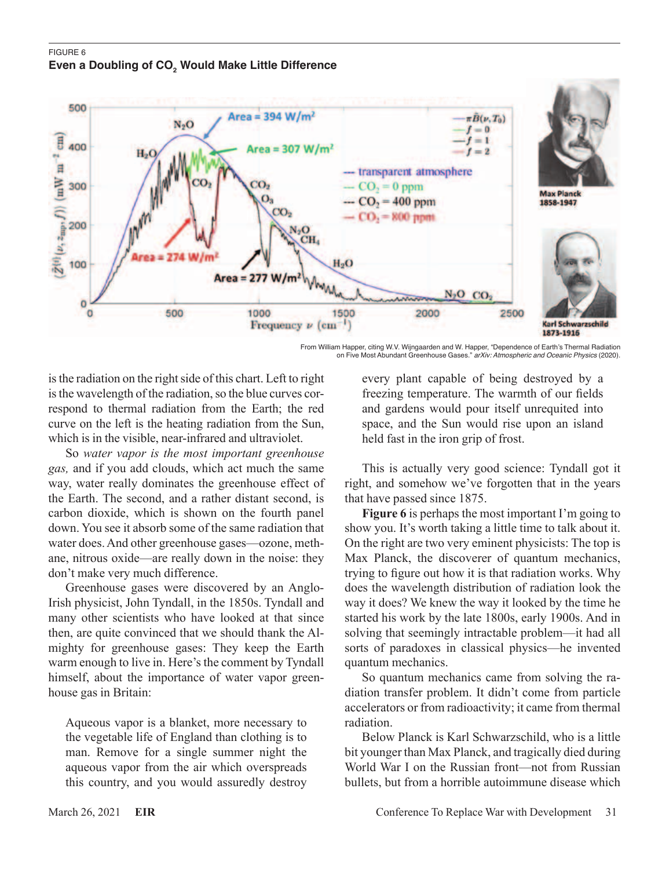## FIGURE 6 Even a Doubling of CO<sub>2</sub> Would Make Little Difference



From William Happer, citing W.V. Wijngaarden and W. Happer, "Dependence of Earth's Thermal Radiation on Five Most Abundant Greenhouse Gases." *arXiv: Atmospheric and Oceanic Physics* (2020).

is the radiation on the right side of this chart. Left to right is the wavelength of the radiation, so the blue curves correspond to thermal radiation from the Earth; the red curve on the left is the heating radiation from the Sun, which is in the visible, near-infrared and ultraviolet.

So *water vapor is the most important greenhouse gas,* and if you add clouds, which act much the same way, water really dominates the greenhouse effect of the Earth. The second, and a rather distant second, is carbon dioxide, which is shown on the fourth panel down. You see it absorb some of the same radiation that water does. And other greenhouse gases—ozone, methane, nitrous oxide—are really down in the noise: they don't make very much difference.

Greenhouse gases were discovered by an Anglo-Irish physicist, John Tyndall, in the 1850s. Tyndall and many other scientists who have looked at that since then, are quite convinced that we should thank the Almighty for greenhouse gases: They keep the Earth warm enough to live in. Here's the comment by Tyndall himself, about the importance of water vapor greenhouse gas in Britain:

Aqueous vapor is a blanket, more necessary to the vegetable life of England than clothing is to man. Remove for a single summer night the aqueous vapor from the air which overspreads this country, and you would assuredly destroy every plant capable of being destroyed by a freezing temperature. The warmth of our fields and gardens would pour itself unrequited into space, and the Sun would rise upon an island held fast in the iron grip of frost.

This is actually very good science: Tyndall got it right, and somehow we've forgotten that in the years that have passed since 1875.

**Figure 6** is perhaps the most important I'm going to show you. It's worth taking a little time to talk about it. On the right are two very eminent physicists: The top is Max Planck, the discoverer of quantum mechanics, trying to figure out how it is that radiation works. Why does the wavelength distribution of radiation look the way it does? We knew the way it looked by the time he started his work by the late 1800s, early 1900s. And in solving that seemingly intractable problem—it had all sorts of paradoxes in classical physics—he invented quantum mechanics.

So quantum mechanics came from solving the radiation transfer problem. It didn't come from particle accelerators or from radioactivity; it came from thermal radiation.

Below Planck is Karl Schwarzschild, who is a little bit younger than Max Planck, and tragically died during World War I on the Russian front—not from Russian bullets, but from a horrible autoimmune disease which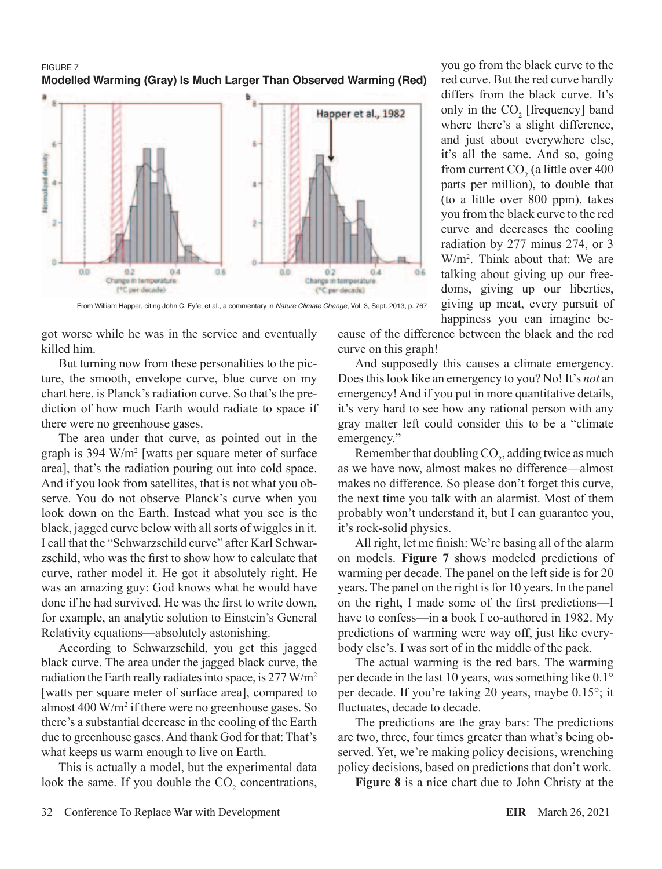#### FIGURE 7 **Modelled Warming (Gray) Is Much Larger Than Observed Warming (Red)**



From William Happer, citing John C. Fyfe, et al., a commentary in *Nature Climate Change*, Vol. 3, Sept. 2013, p. 767

got worse while he was in the service and eventually killed him.

But turning now from these personalities to the picture, the smooth, envelope curve, blue curve on my chart here, is Planck's radiation curve. So that's the prediction of how much Earth would radiate to space if there were no greenhouse gases.

The area under that curve, as pointed out in the graph is 394 W/m2 [watts per square meter of surface area], that's the radiation pouring out into cold space. And if you look from satellites, that is not what you observe. You do not observe Planck's curve when you look down on the Earth. Instead what you see is the black, jagged curve below with all sorts of wiggles in it. I call that the "Schwarzschild curve" after Karl Schwarzschild, who was the first to show how to calculate that curve, rather model it. He got it absolutely right. He was an amazing guy: God knows what he would have done if he had survived. He was the first to write down, for example, an analytic solution to Einstein's General Relativity equations—absolutely astonishing.

According to Schwarzschild, you get this jagged black curve. The area under the jagged black curve, the radiation the Earth really radiates into space, is 277 W/m2 [watts per square meter of surface area], compared to almost 400 W/m2 if there were no greenhouse gases. So there's a substantial decrease in the cooling of the Earth due to greenhouse gases. And thank God for that: That's what keeps us warm enough to live on Earth.

This is actually a model, but the experimental data look the same. If you double the  $CO<sub>2</sub>$  concentrations,

talking about giving up our freedoms, giving up our liberties, giving up meat, every pursuit of happiness you can imagine because of the difference between the black and the red

you go from the black curve to the red curve. But the red curve hardly differs from the black curve. It's only in the  $CO<sub>2</sub>$  [frequency] band where there's a slight difference, and just about everywhere else, it's all the same. And so, going from current  $CO<sub>2</sub>$  (a little over 400 parts per million), to double that (to a little over 800 ppm), takes you from the black curve to the red curve and decreases the cooling radiation by 277 minus 274, or 3 W/m2 . Think about that: We are

curve on this graph! And supposedly this causes a climate emergency. Does this look like an emergency to you? No! It's *not* an emergency! And if you put in more quantitative details, it's very hard to see how any rational person with any gray matter left could consider this to be a "climate emergency."

Remember that doubling  $CO<sub>2</sub>$ , adding twice as much as we have now, almost makes no difference—almost makes no difference. So please don't forget this curve, the next time you talk with an alarmist. Most of them probably won't understand it, but I can guarantee you, it's rock-solid physics.

All right, let me finish: We're basing all of the alarm on models. **Figure 7** shows modeled predictions of warming per decade. The panel on the left side is for 20 years. The panel on the right is for 10 years. In the panel on the right, I made some of the first predictions—I have to confess—in a book I co-authored in 1982. My predictions of warming were way off, just like everybody else's. I was sort of in the middle of the pack.

The actual warming is the red bars. The warming per decade in the last 10 years, was something like 0.1° per decade. If you're taking 20 years, maybe 0.15°; it fluctuates, decade to decade.

The predictions are the gray bars: The predictions are two, three, four times greater than what's being observed. Yet, we're making policy decisions, wrenching policy decisions, based on predictions that don't work.

**Figure 8** is a nice chart due to John Christy at the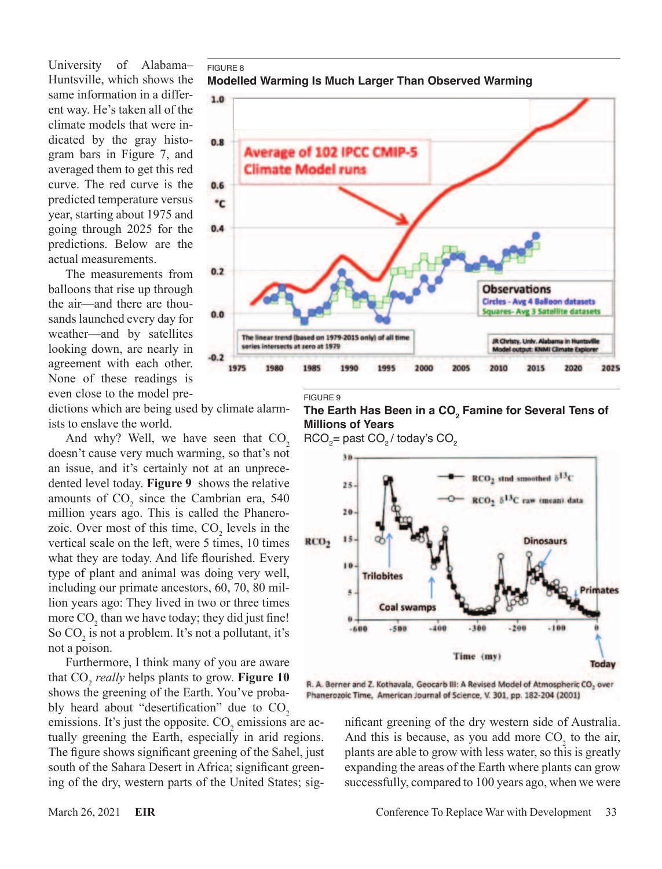University of Alabama– Huntsville, which shows the same information in a different way. He's taken all of the climate models that were indicated by the gray histogram bars in Figure 7, and averaged them to get this red curve. The red curve is the predicted temperature versus year, starting about 1975 and going through 2025 for the predictions. Below are the actual measurements.

The measurements from balloons that rise up through the air—and there are thousands launched every day for weather—and by satellites looking down, are nearly in agreement with each other. None of these readings is even close to the model pre-

dictions which are being used by climate alarmists to enslave the world.

And why? Well, we have seen that  $CO<sub>2</sub>$ doesn't cause very much warming, so that's not an issue, and it's certainly not at an unprecedented level today. **Figure 9** shows the relative amounts of  $CO<sub>2</sub>$  since the Cambrian era, 540 million years ago. This is called the Phanerozoic. Over most of this time,  $CO<sub>2</sub>$  levels in the vertical scale on the left, were 5 times, 10 times what they are today. And life flourished. Every type of plant and animal was doing very well, including our primate ancestors, 60, 70, 80 million years ago: They lived in two or three times more CO<sub>2</sub> than we have today; they did just fine! So  $CO<sub>2</sub>$  is not a problem. It's not a pollutant, it's not a poison.

Furthermore, I think many of you are aware that CO<sub>2</sub> *really* helps plants to grow. **Figure 10** shows the greening of the Earth. You've probably heard about "desertification" due to CO<sub>2</sub> emissions. It's just the opposite.  $CO<sub>2</sub>$  emissions are actually greening the Earth, especially in arid regions. The figure shows significant greening of the Sahel, just south of the Sahara Desert in Africa; significant greening of the dry, western parts of the United States; sig-



FIGURE 9



 $\mathsf{RCO}_{2}$ = past  $\mathsf{CO}_{2}$ / today's  $\mathsf{CO}_{2}$ 



R. A. Berner and Z. Kothavala, Geocarb III: A Revised Model of Atmospheric CO<sub>2</sub> over Phanerozoic Time, American Journal of Science, V. 301, pp. 182-204 (2001)

> nificant greening of the dry western side of Australia. And this is because, as you add more  $CO<sub>2</sub>$  to the air, plants are able to grow with less water, so this is greatly expanding the areas of the Earth where plants can grow successfully, compared to 100 years ago, when we were

FIGURE 8

**Modelled Warming Is Much Larger Than Observed Warming**